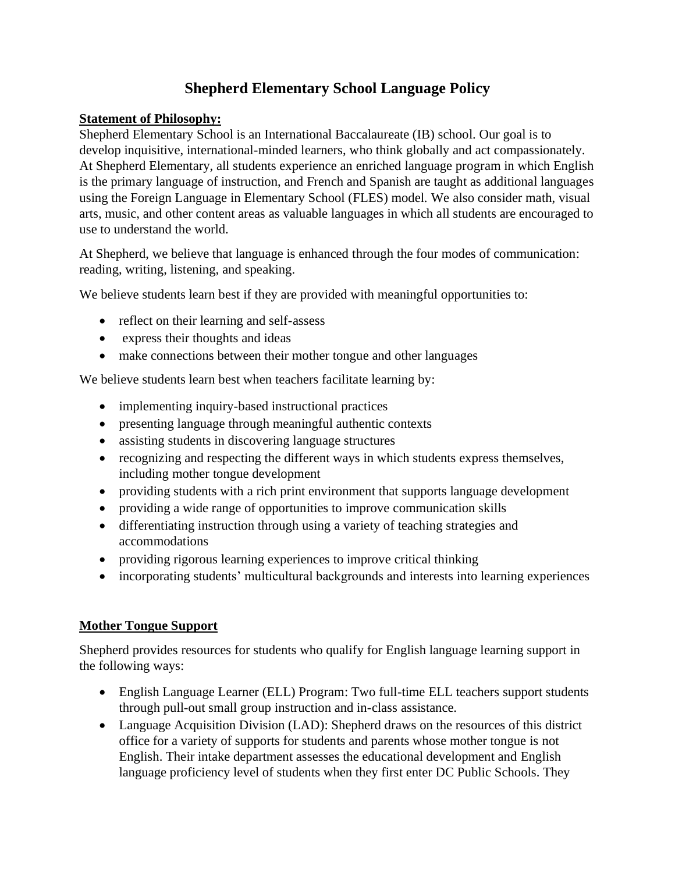# **Shepherd Elementary School Language Policy**

### **Statement of Philosophy:**

Shepherd Elementary School is an International Baccalaureate (IB) school. Our goal is to develop inquisitive, international-minded learners, who think globally and act compassionately. At Shepherd Elementary, all students experience an enriched language program in which English is the primary language of instruction, and French and Spanish are taught as additional languages using the Foreign Language in Elementary School (FLES) model. We also consider math, visual arts, music, and other content areas as valuable languages in which all students are encouraged to use to understand the world.

At Shepherd, we believe that language is enhanced through the four modes of communication: reading, writing, listening, and speaking.

We believe students learn best if they are provided with meaningful opportunities to:

- reflect on their learning and self-assess
- express their thoughts and ideas
- make connections between their mother tongue and other languages

We believe students learn best when teachers facilitate learning by:

- implementing inquiry-based instructional practices
- presenting language through meaningful authentic contexts
- assisting students in discovering language structures
- recognizing and respecting the different ways in which students express themselves, including mother tongue development
- providing students with a rich print environment that supports language development
- providing a wide range of opportunities to improve communication skills
- differentiating instruction through using a variety of teaching strategies and accommodations
- providing rigorous learning experiences to improve critical thinking
- incorporating students' multicultural backgrounds and interests into learning experiences

## **Mother Tongue Support**

Shepherd provides resources for students who qualify for English language learning support in the following ways:

- English Language Learner (ELL) Program: Two full-time ELL teachers support students through pull-out small group instruction and in-class assistance.
- Language Acquisition Division (LAD): Shepherd draws on the resources of this district office for a variety of supports for students and parents whose mother tongue is not English. Their intake department assesses the educational development and English language proficiency level of students when they first enter DC Public Schools. They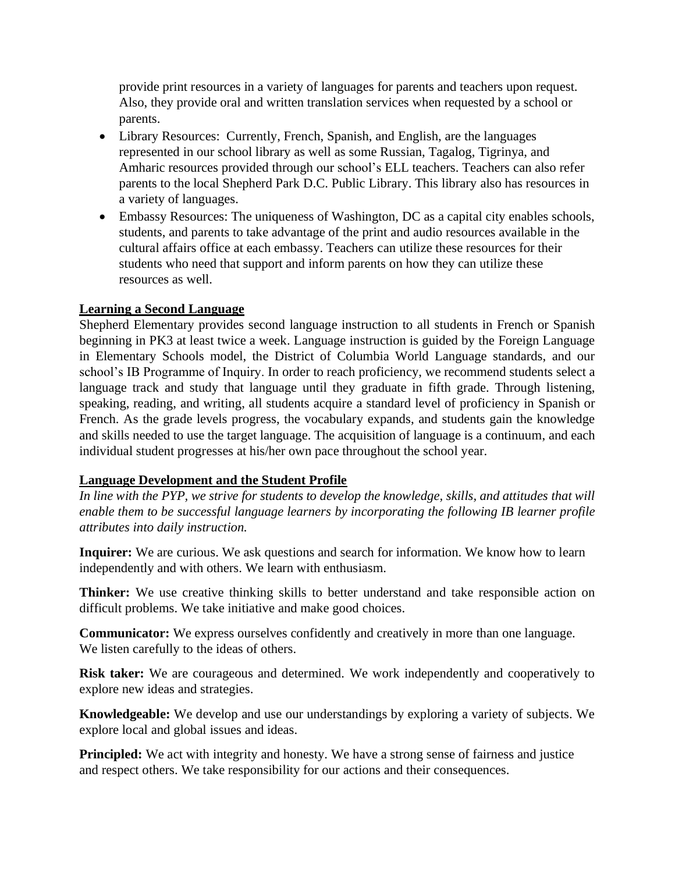provide print resources in a variety of languages for parents and teachers upon request. Also, they provide oral and written translation services when requested by a school or parents.

- Library Resources: Currently, French, Spanish, and English, are the languages represented in our school library as well as some Russian, Tagalog, Tigrinya, and Amharic resources provided through our school's ELL teachers. Teachers can also refer parents to the local Shepherd Park D.C. Public Library. This library also has resources in a variety of languages.
- Embassy Resources: The uniqueness of Washington, DC as a capital city enables schools, students, and parents to take advantage of the print and audio resources available in the cultural affairs office at each embassy. Teachers can utilize these resources for their students who need that support and inform parents on how they can utilize these resources as well.

## **Learning a Second Language**

Shepherd Elementary provides second language instruction to all students in French or Spanish beginning in PK3 at least twice a week. Language instruction is guided by the Foreign Language in Elementary Schools model, the District of Columbia World Language standards, and our school's IB Programme of Inquiry. In order to reach proficiency, we recommend students select a language track and study that language until they graduate in fifth grade. Through listening, speaking, reading, and writing, all students acquire a standard level of proficiency in Spanish or French. As the grade levels progress, the vocabulary expands, and students gain the knowledge and skills needed to use the target language. The acquisition of language is a continuum, and each individual student progresses at his/her own pace throughout the school year.

## **Language Development and the Student Profile**

*In line with the PYP, we strive for students to develop the knowledge, skills, and attitudes that will enable them to be successful language learners by incorporating the following IB learner profile attributes into daily instruction.*

**Inquirer:** We are curious. We ask questions and search for information. We know how to learn independently and with others. We learn with enthusiasm.

**Thinker:** We use creative thinking skills to better understand and take responsible action on difficult problems. We take initiative and make good choices.

**Communicator:** We express ourselves confidently and creatively in more than one language. We listen carefully to the ideas of others.

**Risk taker:** We are courageous and determined. We work independently and cooperatively to explore new ideas and strategies.

**Knowledgeable:** We develop and use our understandings by exploring a variety of subjects. We explore local and global issues and ideas.

**Principled:** We act with integrity and honesty. We have a strong sense of fairness and justice and respect others. We take responsibility for our actions and their consequences.